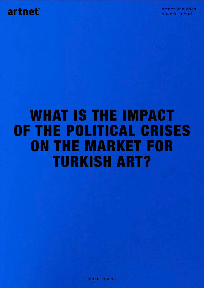

artnet analytics special report

# WHAT IS THE IMPACT OF THE POLITICAL CRISES ON THE MARKET FOR TURKISH ART?

fabian bocart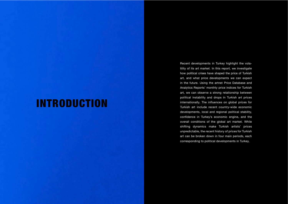Recent developments in Turkey highlight the volatility of its art market. In this report, we investigate how political crises have shaped the price of Turkish art, and what price developments we can expect in the future. Using the artnet Price Database and Analytics Reports' monthly price indices for Turkish art, we can observe a strong relationship between political instability and drops in Turkish art prices internationally. The influences on global prices for Turkish art include recent country-wide economic developments, local and regional political stability, confidence in Turkey's economic engine, and the overall conditions of the global art market. While shifting dynamics make Turkish artists' prices unpredictable, the recent history of prices for Turkish art can be broken down in four main periods, each corresponding to political developments in Turkey.

# INTRODUCTION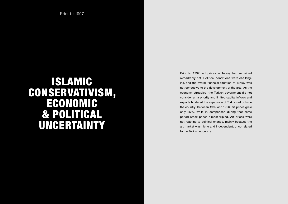## ISLAMIC CONSERVATIVISM, ECONOMIC & POLITICAL UNCERTAINTY

Prior to 1997, art prices in Turkey had remained remarkably flat. Political conditions were challenging, and the overall financial situation of Turkey was not conducive to the development of the arts. As the economy struggled, the Turkish government did not consider art a priority and limited capital inflows and exports hindered the expansion of Turkish art outside the country. Between 1992 and 1996, art prices grew only 25%, while in comparison during that same period stock prices almost tripled. Art prices were not reacting to political change, mainly because the art market was niche and independent, uncorrelated to the Turkish economy.

Prior to 1997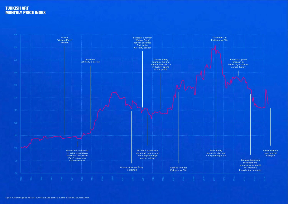

#### TURKISH ART MONTHLY PRICE INDEX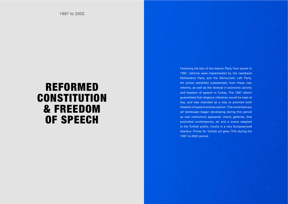Following the ban of the Islamic Party from power in 1997, reforms were implemented by the neoliberal Motherland Party and the Democratic Left Party. Art prices benefited substantially from these new reforms, as well as the renewal in economic activity and freedom of speech in Turkey. The 1997 reform guaranteed that religious inference would be kept at bay, and was intended as a way to promote both freedom of speech and secularism. The contemporary art landscape began developing during this period as new institutions appeared, mainly galleries, that promoted contemporary art and a scene adapted to the Turkish public, mostly in a very Europeanized Istanbul. Prices for Turkish art grew 75% during the 1997 to 2002 period.

### REFORMED **CONSTITUTION** & FREEDOM OF SPEECH

1997 to 2002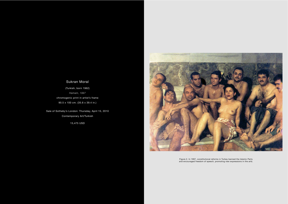#### Sukran Moral

(Turkish, born 1962) *Hamam, 1997* chromogenic print in artist's frame 90.5 x 100 cm. (35.6 x 39.4 in.)

Sale of Sotheby's London: Thursday, April 15, 2010 Contemporary Art/Turkish

15,475 USD



Figure 2. In 1997, constitutional reforms in Turkey banned the Islamic Party and encouraged freedom of speech, promoting new expressions in the arts.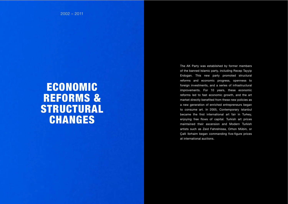The AK Party was established by former members of the banned Islamic party, including Recep Tayyip Erdogan. This new party promoted structural reforms and economic progress, openness to foreign investments, and a series of infrastructural improvements. For 10 years, these economic reforms led to fast economic growth, and the art market directly benefited from these new policies as a new generation of enriched entrepreneurs began to consume art. In 2005, Contemporary Istanbul became the first international art fair in Turkey, enjoying free flows of capital. Turkish art prices maintained their ascension and Modern Turkish artists such as Zeid Fahrelnissa, Orhon Mübin, or Çalli Ibrhaim began commanding five-figure prices at international auctions.

### ECONOMIC REFORMS & STRUCTURAL CHANGES

2002 – 2011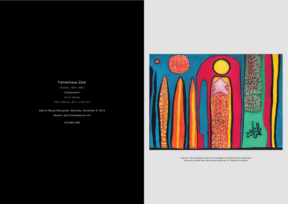#### Fahrelnissa Zeid

(Turkish, 1901–1991) *Composition* oil on canvas

145 x 200 cm. (57.1 x 78.7 in.)

Sale of Beyaz Müzayede: Saturday, November 6, 2010 Modern and Contemporary Art

470,990 USD



Figure 3. The economic reforms by Erdogan's AK Party led to significant economic growth and new records were set at Turkish art auction.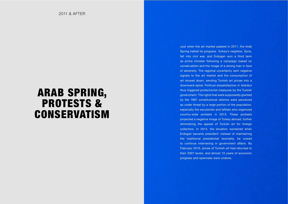Just when the art market peaked in 2011, the Arab Spring halted its progress. Turkey's neighbor, Syria, fell into civil war, and Erdogan won a third term as prime minister following a campaign based on conservatism and the image of a strong man in face of adversity. The regional uncertainty sent negative signals to the art market and the consumption of art slowed down, sending Turkish art prices into a downward spiral. Political dissatisfaction in Istanbul thus triggered protectionist measures by the Turkish government. The rights that were supposedly granted by the 1997 constitutional reforms were perceived as under threat by a large portion of the population, especially the secularists and leftists who organized country-wide protests in 2013. These protests projected a negative image of Turkey abroad, further diminishing the appeal of Turkish art for foreign collectors. In 2014, the situation worsened when Erdogan became president: instead of maintaining the traditional presidential neutrality, he vowed to continue intervening in government affairs. By February 2016, prices of Turkish art had returned to their 2007 levels, and almost 10 years of economic progress and openness were undone.

# ARAB SPRING, PROTESTS & CONSERVATISM

2011 & AFTER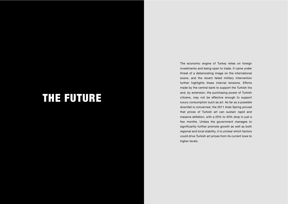The economic engine of Turkey relies on foreign investments and being open to trade. It came under threat of a deteriorating image on the international scene, and the recent failed military intervention further highlights these internal tensions. Efforts made by the central bank to support the Turkish lira and, by extension, the purchasing power of Turkish citizens, may not be effective enough to support luxury consumption such as art. As far as a possible downfall is concerned, the 2011 Arab Spring proved that prices of Turkish art can sustain rapid and massive deflation, with a 20% to 40% drop in just a few months. Unless the government manages to significantly further promote growth as well as both regional and local stability, it is unclear which factors could drive Turkish art prices from its current lows to higher levels.

# THE FUTURE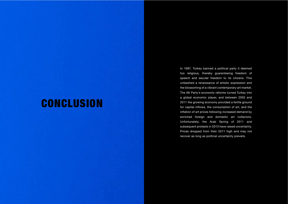### **CONCLUSION**

In 1997, Turkey banned a political party it deemed too religious, thereby guaranteeing freedom of speech and secular freedom to its citizens. This unleashed a renaissance of artistic expression and the blossoming of a vibrant contemporary art market. The AK Party's economic reforms turned Turkey into a global economic player, and between 2002 and 2011 the growing economy provided a fertile ground for capital inflows, the consumption of art, and the inflation of art prices following increased demand by enriched foreign and domestic art collectors. Unfortunately, the Arab Spring of 2011 and subsequent protests in 2013 have raised uncertainty. Prices dropped from their 2011 high and may not recover as long as political uncertainty prevails.